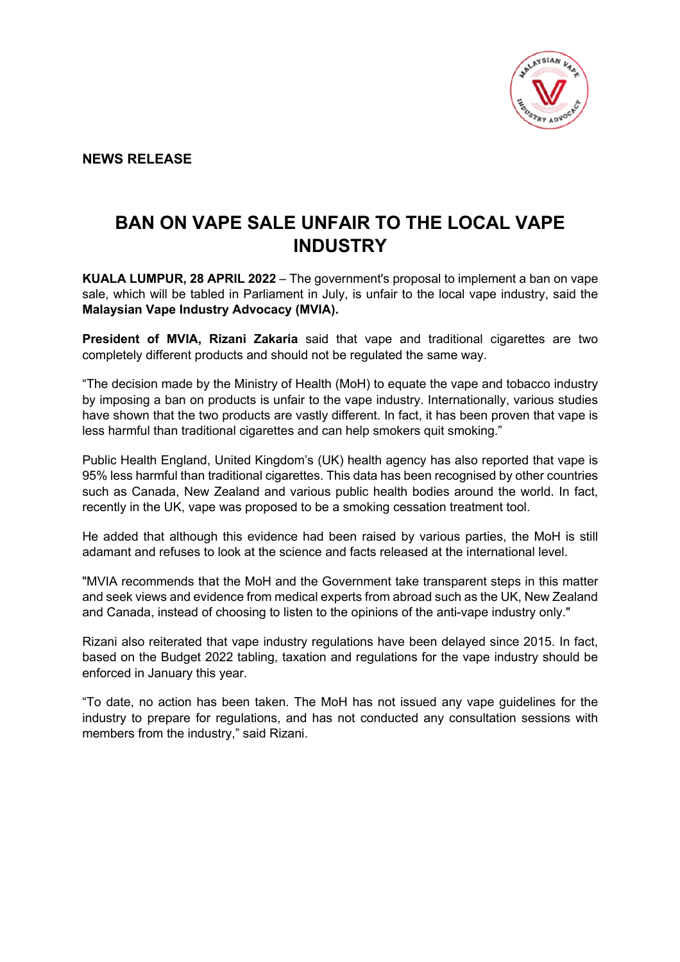

**NEWS RELEASE**

## **BAN ON VAPE SALE UNFAIR TO THE LOCAL VAPE INDUSTRY**

**KUALA LUMPUR, 28 APRIL 2022** – The government's proposal to implement a ban on vape sale, which will be tabled in Parliament in July, is unfair to the local vape industry, said the **Malaysian Vape Industry Advocacy (MVIA).**

**President of MVIA, Rizani Zakaria** said that vape and traditional cigarettes are two completely different products and should not be regulated the same way.

"The decision made by the Ministry of Health (MoH) to equate the vape and tobacco industry by imposing a ban on products is unfair to the vape industry. Internationally, various studies have shown that the two products are vastly different. In fact, it has been proven that vape is less harmful than traditional cigarettes and can help smokers quit smoking."

Public Health England, United Kingdom's (UK) health agency has also reported that vape is 95% less harmful than traditional cigarettes. This data has been recognised by other countries such as Canada, New Zealand and various public health bodies around the world. In fact, recently in the UK, vape was proposed to be a smoking cessation treatment tool.

He added that although this evidence had been raised by various parties, the MoH is still adamant and refuses to look at the science and facts released at the international level.

"MVIA recommends that the MoH and the Government take transparent steps in this matter and seek views and evidence from medical experts from abroad such as the UK, New Zealand and Canada, instead of choosing to listen to the opinions of the anti-vape industry only."

Rizani also reiterated that vape industry regulations have been delayed since 2015. In fact, based on the Budget 2022 tabling, taxation and regulations for the vape industry should be enforced in January this year.

"To date, no action has been taken. The MoH has not issued any vape guidelines for the industry to prepare for regulations, and has not conducted any consultation sessions with members from the industry," said Rizani.